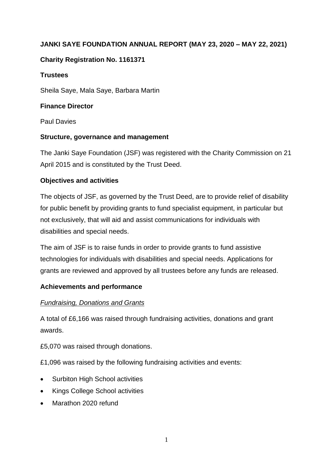# **JANKI SAYE FOUNDATION ANNUAL REPORT (MAY 23, 2020 – MAY 22, 2021)**

# **Charity Registration No. 1161371**

### **Trustees**

Sheila Saye, Mala Saye, Barbara Martin

### **Finance Director**

Paul Davies

# **Structure, governance and management**

The Janki Saye Foundation (JSF) was registered with the Charity Commission on 21 April 2015 and is constituted by the Trust Deed.

# **Objectives and activities**

The objects of JSF, as governed by the Trust Deed, are to provide relief of disability for public benefit by providing grants to fund specialist equipment, in particular but not exclusively, that will aid and assist communications for individuals with disabilities and special needs.

The aim of JSF is to raise funds in order to provide grants to fund assistive technologies for individuals with disabilities and special needs. Applications for grants are reviewed and approved by all trustees before any funds are released.

# **Achievements and performance**

# *Fundraising, Donations and Grants*

A total of £6,166 was raised through fundraising activities, donations and grant awards.

£5,070 was raised through donations.

£1,096 was raised by the following fundraising activities and events:

- Surbiton High School activities
- Kings College School activities
- Marathon 2020 refund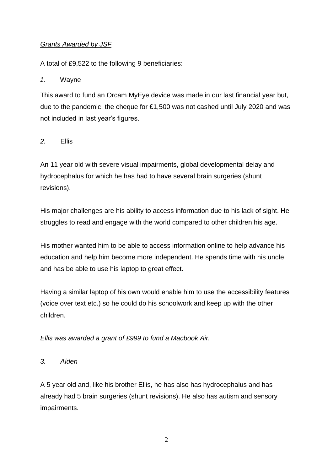# *Grants Awarded by JSF*

A total of £9,522 to the following 9 beneficiaries:

#### *1.* Wayne

This award to fund an Orcam MyEye device was made in our last financial year but, due to the pandemic, the cheque for £1,500 was not cashed until July 2020 and was not included in last year's figures.

### *2.* Ellis

An 11 year old with severe visual impairments, global developmental delay and hydrocephalus for which he has had to have several brain surgeries (shunt revisions).

His major challenges are his ability to access information due to his lack of sight. He struggles to read and engage with the world compared to other children his age.

His mother wanted him to be able to access information online to help advance his education and help him become more independent. He spends time with his uncle and has be able to use his laptop to great effect.

Having a similar laptop of his own would enable him to use the accessibility features (voice over text etc.) so he could do his schoolwork and keep up with the other children.

*Ellis was awarded a grant of £999 to fund a Macbook Air.*

*3. Aiden*

A 5 year old and, like his brother Ellis, he has also has hydrocephalus and has already had 5 brain surgeries (shunt revisions). He also has autism and sensory impairments.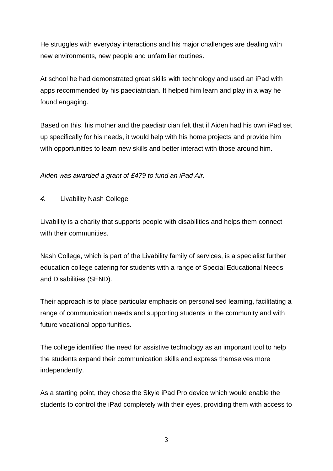He struggles with everyday interactions and his major challenges are dealing with new environments, new people and unfamiliar routines.

At school he had demonstrated great skills with technology and used an iPad with apps recommended by his paediatrician. It helped him learn and play in a way he found engaging.

Based on this, his mother and the paediatrician felt that if Aiden had his own iPad set up specifically for his needs, it would help with his home projects and provide him with opportunities to learn new skills and better interact with those around him.

*Aiden was awarded a grant of £479 to fund an iPad Air.*

*4.* Livability Nash College

Livability is a charity that supports people with disabilities and helps them connect with their communities.

Nash College, which is part of the Livability family of services, is a specialist further education college catering for students with a range of Special Educational Needs and Disabilities (SEND).

Their approach is to place particular emphasis on personalised learning, facilitating a range of communication needs and supporting students in the community and with future vocational opportunities.

The college identified the need for assistive technology as an important tool to help the students expand their communication skills and express themselves more independently.

As a starting point, they chose the Skyle iPad Pro device which would enable the students to control the iPad completely with their eyes, providing them with access to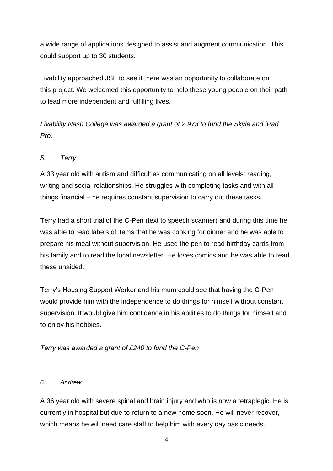a wide range of applications designed to assist and augment communication. This could support up to 30 students.

Livability approached JSF to see if there was an opportunity to collaborate on this project. We welcomed this opportunity to help these young people on their path to lead more independent and fulfilling lives.

*Livability Nash College was awarded a grant of 2,973 to fund the Skyle and iPad Pro.*

# *5. Terry*

A 33 year old with autism and difficulties communicating on all levels: reading, writing and social relationships. He struggles with completing tasks and with all things financial – he requires constant supervision to carry out these tasks.

Terry had a short trial of the C-Pen (text to speech scanner) and during this time he was able to read labels of items that he was cooking for dinner and he was able to prepare his meal without supervision. He used the pen to read birthday cards from his family and to read the local newsletter. He loves comics and he was able to read these unaided.

Terry's Housing Support Worker and his mum could see that having the C-Pen would provide him with the independence to do things for himself without constant supervision. It would give him confidence in his abilities to do things for himself and to enjoy his hobbies.

*Terry was awarded a grant of £240 to fund the C-Pen*

### *6. Andrew*

A 36 year old with severe spinal and brain injury and who is now a tetraplegic. He is currently in hospital but due to return to a new home soon. He will never recover, which means he will need care staff to help him with every day basic needs.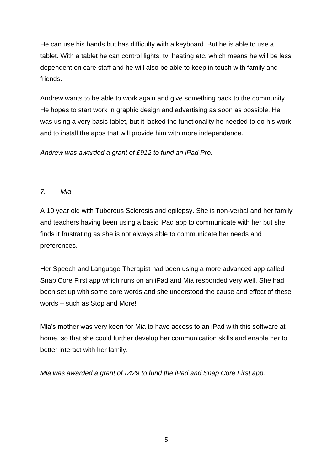He can use his hands but has difficulty with a keyboard. But he is able to use a tablet. With a tablet he can control lights, tv, heating etc. which means he will be less dependent on care staff and he will also be able to keep in touch with family and friends.

Andrew wants to be able to work again and give something back to the community. He hopes to start work in graphic design and advertising as soon as possible. He was using a very basic tablet, but it lacked the functionality he needed to do his work and to install the apps that will provide him with more independence.

*Andrew was awarded a grant of £912 to fund an iPad Pro***.** 

# *7. Mia*

A 10 year old with Tuberous Sclerosis and epilepsy. She is non-verbal and her family and teachers having been using a basic iPad app to communicate with her but she finds it frustrating as she is not always able to communicate her needs and preferences.

Her Speech and Language Therapist had been using a more advanced app called Snap Core First app which runs on an iPad and Mia responded very well. She had been set up with some core words and she understood the cause and effect of these words – such as Stop and More!

Mia's mother was very keen for Mia to have access to an iPad with this software at home, so that she could further develop her communication skills and enable her to better interact with her family.

*Mia was awarded a grant of £429 to fund the iPad and Snap Core First app.*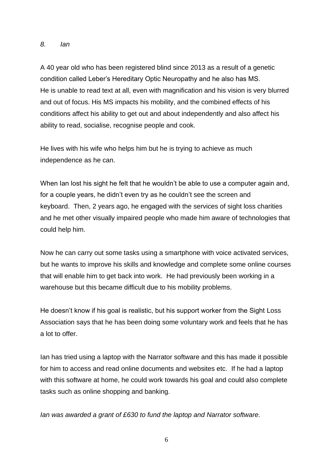#### *8. Ian*

A 40 year old who has been registered blind since 2013 as a result of a genetic condition called Leber's Hereditary Optic Neuropathy and he also has MS. He is unable to read text at all, even with magnification and his vision is very blurred and out of focus. His MS impacts his mobility, and the combined effects of his conditions affect his ability to get out and about independently and also affect his ability to read, socialise, recognise people and cook.

He lives with his wife who helps him but he is trying to achieve as much independence as he can.

When Ian lost his sight he felt that he wouldn't be able to use a computer again and, for a couple years, he didn't even try as he couldn't see the screen and keyboard. Then, 2 years ago, he engaged with the services of sight loss charities and he met other visually impaired people who made him aware of technologies that could help him.

Now he can carry out some tasks using a smartphone with voice activated services, but he wants to improve his skills and knowledge and complete some online courses that will enable him to get back into work. He had previously been working in a warehouse but this became difficult due to his mobility problems.

He doesn't know if his goal is realistic, but his support worker from the Sight Loss Association says that he has been doing some voluntary work and feels that he has a lot to offer.

Ian has tried using a laptop with the Narrator software and this has made it possible for him to access and read online documents and websites etc. If he had a laptop with this software at home, he could work towards his goal and could also complete tasks such as online shopping and banking.

*Ian was awarded a grant of £630 to fund the laptop and Narrator software.*

6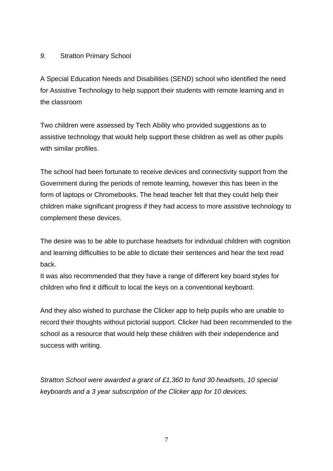### *9.* Stratton Primary School

A Special Education Needs and Disabilities (SEND) school who identified the need for Assistive Technology to help support their students with remote learning and in the classroom

Two children were assessed by Tech Ability who provided suggestions as to assistive technology that would help support these children as well as other pupils with similar profiles.

The school had been fortunate to receive devices and connectivity support from the Government during the periods of remote learning, however this has been in the form of laptops or Chromebooks. The head teacher felt that they could help their children make significant progress if they had access to more assistive technology to complement these devices.

The desire was to be able to purchase headsets for individual children with cognition and learning difficulties to be able to dictate their sentences and hear the text read back.

It was also recommended that they have a range of different key board styles for children who find it difficult to local the keys on a conventional keyboard.

And they also wished to purchase the Clicker app to help pupils who are unable to record their thoughts without pictorial support. Clicker had been recommended to the school as a resource that would help these children with their independence and success with writing.

*Stratton School were awarded a grant of £1,360 to fund 30 headsets, 10 special keyboards and a 3 year subscription of the Clicker app for 10 devices.*